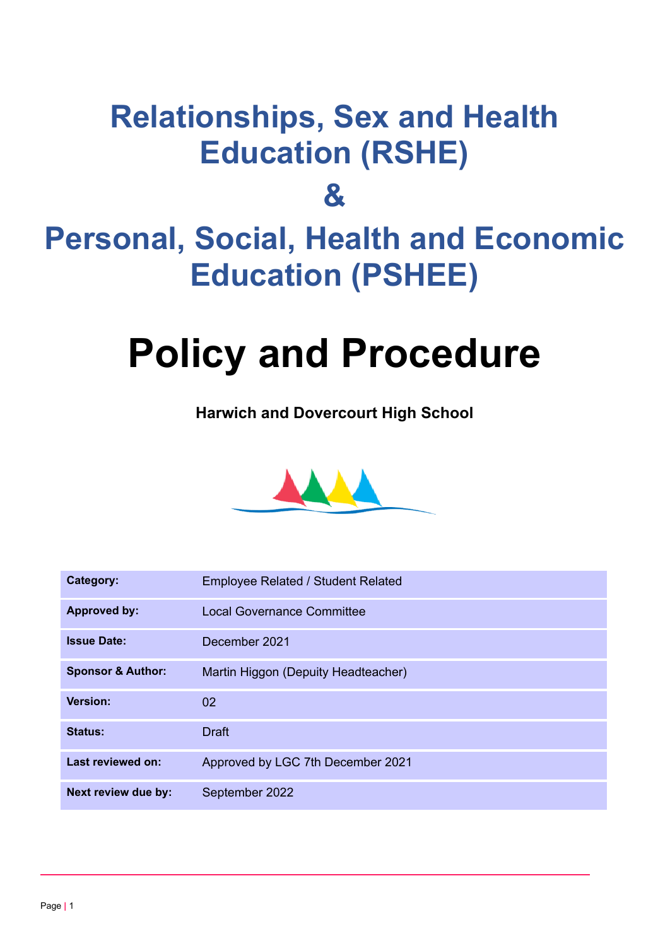## **Relationships, Sex and Health Education (RSHE)**

**&**

# **Personal, Social, Health and Economic Education (PSHEE)**

# **Policy and Procedure**

**Harwich and Dovercourt High School**



| Category:                    | <b>Employee Related / Student Related</b> |
|------------------------------|-------------------------------------------|
| <b>Approved by:</b>          | <b>Local Governance Committee</b>         |
| <b>Issue Date:</b>           | December 2021                             |
| <b>Sponsor &amp; Author:</b> | Martin Higgon (Depuity Headteacher)       |
| Version:                     | 02                                        |
| <b>Status:</b>               | <b>Draft</b>                              |
| Last reviewed on:            | Approved by LGC 7th December 2021         |
| Next review due by:          | September 2022                            |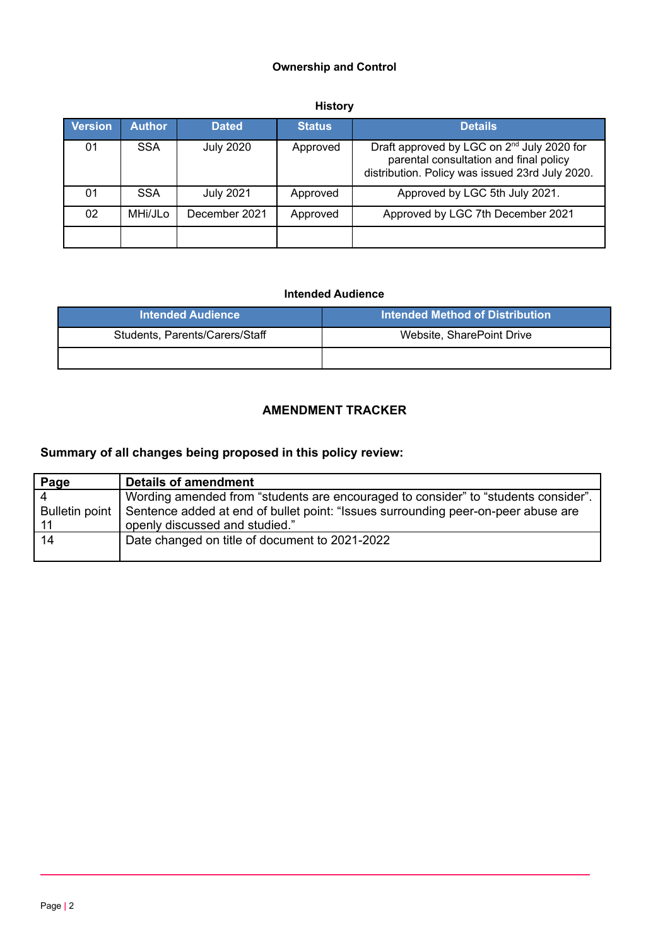#### **Ownership and Control**

#### **History**

| <b>Version</b> | <b>Author</b> | <b>Dated</b>     | <b>Status</b> | <b>Details</b>                                                                                                                                      |
|----------------|---------------|------------------|---------------|-----------------------------------------------------------------------------------------------------------------------------------------------------|
| 01             | <b>SSA</b>    | <b>July 2020</b> | Approved      | Draft approved by LGC on 2 <sup>nd</sup> July 2020 for<br>parental consultation and final policy<br>distribution. Policy was issued 23rd July 2020. |
| 01             | <b>SSA</b>    | <b>July 2021</b> | Approved      | Approved by LGC 5th July 2021.                                                                                                                      |
| 02             | MHi/JLo       | December 2021    | Approved      | Approved by LGC 7th December 2021                                                                                                                   |
|                |               |                  |               |                                                                                                                                                     |

#### **Intended Audience**

| <b>Intended Audience</b>       | Intended Method of Distribution |
|--------------------------------|---------------------------------|
| Students, Parents/Carers/Staff | Website, SharePoint Drive       |
|                                |                                 |

#### **AMENDMENT TRACKER**

### **Summary of all changes being proposed in this policy review:**

| Page | <b>Details of amendment</b>                                                                        |
|------|----------------------------------------------------------------------------------------------------|
|      | Wording amended from "students are encouraged to consider" to "students consider".                 |
|      | Bulletin point   Sentence added at end of bullet point: "Issues surrounding peer-on-peer abuse are |
| -11  | openly discussed and studied."                                                                     |
| 14   | Date changed on title of document to 2021-2022                                                     |
|      |                                                                                                    |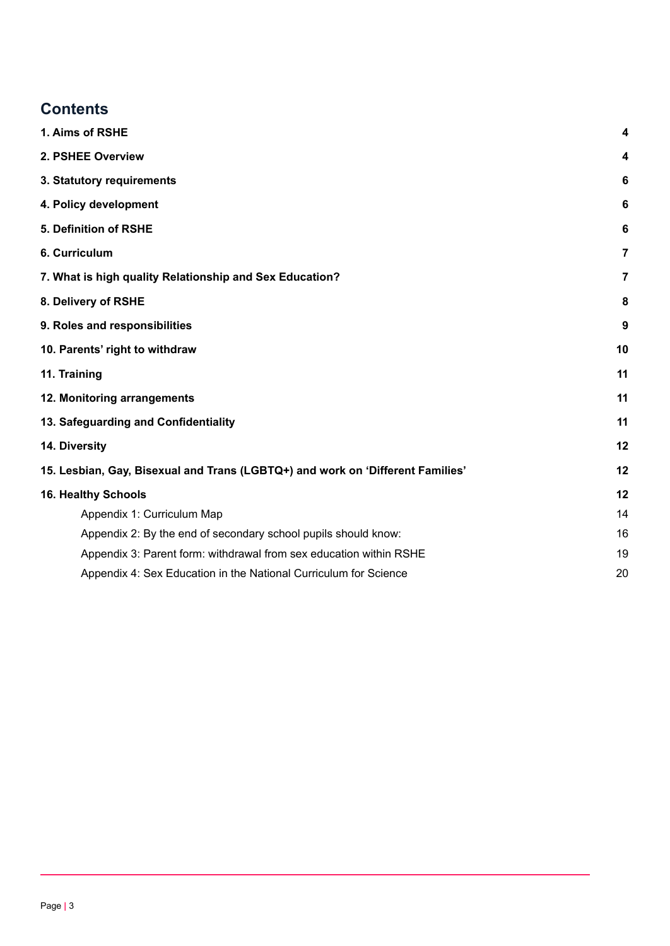## **Contents**

| 1. Aims of RSHE                                                                | $\boldsymbol{4}$ |
|--------------------------------------------------------------------------------|------------------|
| 2. PSHEE Overview                                                              | 4                |
| 3. Statutory requirements                                                      | 6                |
| 4. Policy development                                                          | 6                |
| 5. Definition of RSHE                                                          | $6\phantom{1}6$  |
| 6. Curriculum                                                                  | $\overline{7}$   |
| 7. What is high quality Relationship and Sex Education?                        | $\overline{7}$   |
| 8. Delivery of RSHE                                                            | 8                |
| 9. Roles and responsibilities                                                  | 9                |
| 10. Parents' right to withdraw                                                 | 10               |
| 11. Training                                                                   | 11               |
| 12. Monitoring arrangements                                                    | 11               |
| 13. Safeguarding and Confidentiality                                           | 11               |
| 14. Diversity                                                                  | 12               |
| 15. Lesbian, Gay, Bisexual and Trans (LGBTQ+) and work on 'Different Families' | 12               |
| 16. Healthy Schools                                                            | 12               |
| Appendix 1: Curriculum Map                                                     | 14               |
| Appendix 2: By the end of secondary school pupils should know:                 | 16               |
| Appendix 3: Parent form: withdrawal from sex education within RSHE             | 19               |
| Appendix 4: Sex Education in the National Curriculum for Science               | 20               |
|                                                                                |                  |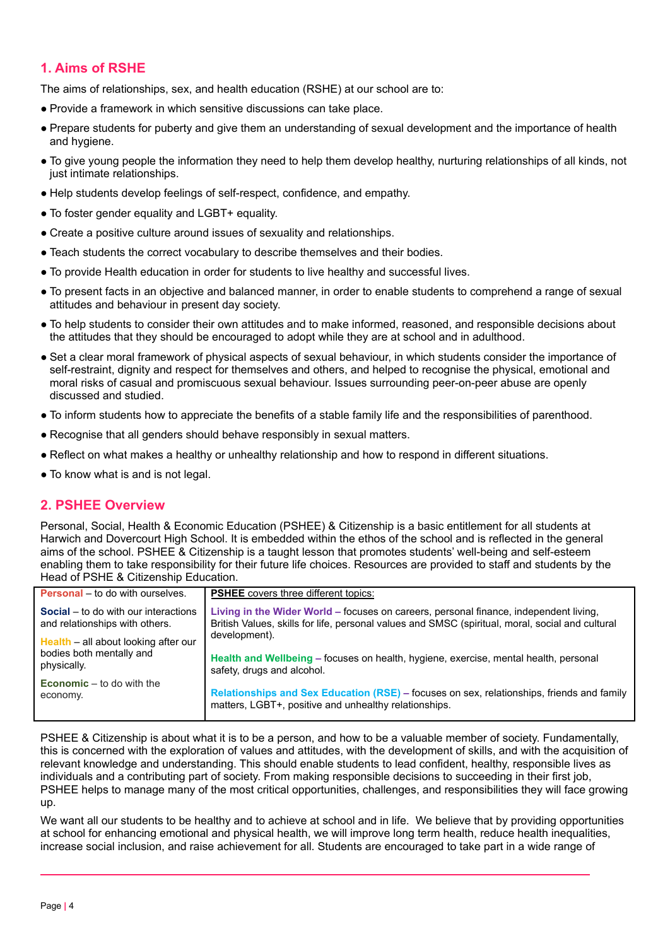#### <span id="page-3-0"></span>**1. Aims of RSHE**

The aims of relationships, sex, and health education (RSHE) at our school are to:

- Provide a framework in which sensitive discussions can take place.
- Prepare students for puberty and give them an understanding of sexual development and the importance of health and hygiene.
- To give young people the information they need to help them develop healthy, nurturing relationships of all kinds, not just intimate relationships.
- Help students develop feelings of self-respect, confidence, and empathy.
- To foster gender equality and LGBT+ equality.
- Create a positive culture around issues of sexuality and relationships.
- Teach students the correct vocabulary to describe themselves and their bodies.
- To provide Health education in order for students to live healthy and successful lives.
- To present facts in an objective and balanced manner, in order to enable students to comprehend a range of sexual attitudes and behaviour in present day society.
- To help students to consider their own attitudes and to make informed, reasoned, and responsible decisions about the attitudes that they should be encouraged to adopt while they are at school and in adulthood.
- Set a clear moral framework of physical aspects of sexual behaviour, in which students consider the importance of self-restraint, dignity and respect for themselves and others, and helped to recognise the physical, emotional and moral risks of casual and promiscuous sexual behaviour. Issues surrounding peer-on-peer abuse are openly discussed and studied.
- To inform students how to appreciate the benefits of a stable family life and the responsibilities of parenthood.
- Recognise that all genders should behave responsibly in sexual matters.
- Reflect on what makes a healthy or unhealthy relationship and how to respond in different situations.
- To know what is and is not legal.

#### <span id="page-3-1"></span>**2. PSHEE Overview**

Personal, Social, Health & Economic Education (PSHEE) & Citizenship is a basic entitlement for all students at Harwich and Dovercourt High School. It is embedded within the ethos of the school and is reflected in the general aims of the school. PSHEE & Citizenship is a taught lesson that promotes students' well-being and self-esteem enabling them to take responsibility for their future life choices. Resources are provided to staff and students by the Head of PSHE & Citizenship Education.

| <b>Personal</b> – to do with ourselves.                                         | <b>PSHEE</b> covers three different topics:                                                                                                                                                                |
|---------------------------------------------------------------------------------|------------------------------------------------------------------------------------------------------------------------------------------------------------------------------------------------------------|
| <b>Social</b> – to do with our interactions<br>and relationships with others.   | Living in the Wider World – focuses on careers, personal finance, independent living,<br>British Values, skills for life, personal values and SMSC (spiritual, moral, social and cultural<br>development). |
| Health - all about looking after our<br>bodies both mentally and<br>physically. | Health and Wellbeing – focuses on health, hygiene, exercise, mental health, personal<br>safety, drugs and alcohol.                                                                                         |
| <b>Economic</b> $-$ to do with the<br>economy.                                  | Relationships and Sex Education (RSE) – focuses on sex, relationships, friends and family<br>matters, LGBT+, positive and unhealthy relationships.                                                         |

PSHEE & Citizenship is about what it is to be a person, and how to be a valuable member of society. Fundamentally, this is concerned with the exploration of values and attitudes, with the development of skills, and with the acquisition of relevant knowledge and understanding. This should enable students to lead confident, healthy, responsible lives as individuals and a contributing part of society. From making responsible decisions to succeeding in their first job, PSHEE helps to manage many of the most critical opportunities, challenges, and responsibilities they will face growing up.

We want all our students to be healthy and to achieve at school and in life. We believe that by providing opportunities at school for enhancing emotional and physical health, we will improve long term health, reduce health inequalities, increase social inclusion, and raise achievement for all. Students are encouraged to take part in a wide range of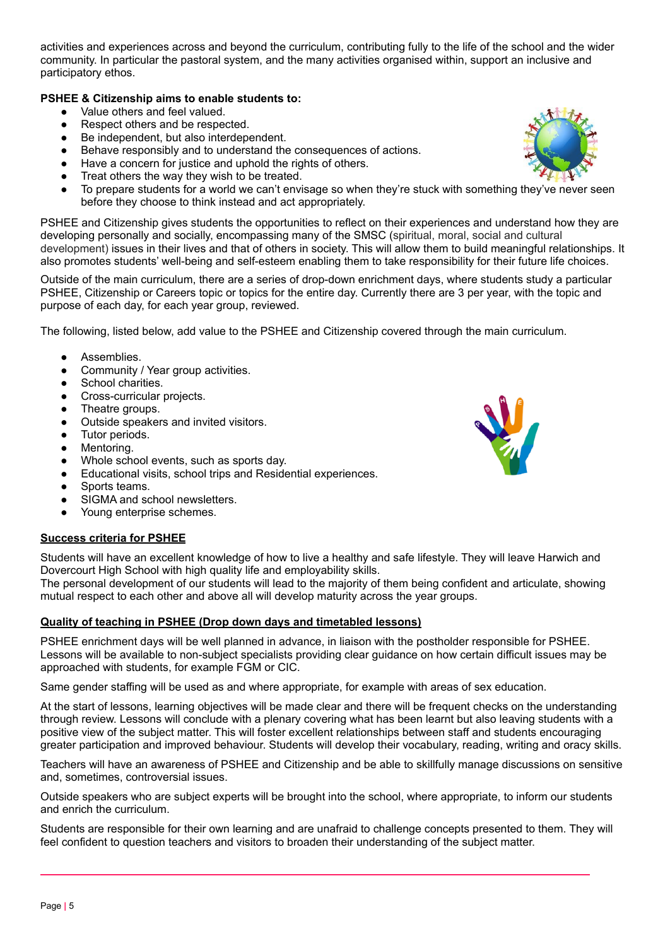activities and experiences across and beyond the curriculum, contributing fully to the life of the school and the wider community. In particular the pastoral system, and the many activities organised within, support an inclusive and participatory ethos.

#### **PSHEE & Citizenship aims to enable students to:**

- Value others and feel valued.
- Respect others and be respected.
- Be independent, but also interdependent.
- Behave responsibly and to understand the consequences of actions.
- Have a concern for justice and uphold the rights of others.
- Treat others the way they wish to be treated.
- To prepare students for a world we can't envisage so when they're stuck with something they've never seen before they choose to think instead and act appropriately.

PSHEE and Citizenship gives students the opportunities to reflect on their experiences and understand how they are developing personally and socially, encompassing many of the SMSC (spiritual, moral, social and cultural development) issues in their lives and that of others in society. This will allow them to build meaningful relationships. It also promotes students' well-being and self-esteem enabling them to take responsibility for their future life choices.

Outside of the main curriculum, there are a series of drop-down enrichment days, where students study a particular PSHEE, Citizenship or Careers topic or topics for the entire day. Currently there are 3 per year, with the topic and purpose of each day, for each year group, reviewed.

The following, listed below, add value to the PSHEE and Citizenship covered through the main curriculum.

- Assemblies.
- Community / Year group activities.
- School charities.
- Cross-curricular projects.
- Theatre groups.
- Outside speakers and invited visitors.
- Tutor periods.
- Mentoring.
- Whole school events, such as sports day.
- Educational visits, school trips and Residential experiences.
- Sports teams.
- SIGMA and school newsletters.
- Young enterprise schemes.

#### **Success criteria for PSHEE**

Students will have an excellent knowledge of how to live a healthy and safe lifestyle. They will leave Harwich and Dovercourt High School with high quality life and employability skills.

The personal development of our students will lead to the majority of them being confident and articulate, showing mutual respect to each other and above all will develop maturity across the year groups.

#### **Quality of teaching in PSHEE (Drop down days and timetabled lessons)**

PSHEE enrichment days will be well planned in advance, in liaison with the postholder responsible for PSHEE. Lessons will be available to non-subject specialists providing clear guidance on how certain difficult issues may be approached with students, for example FGM or CIC.

Same gender staffing will be used as and where appropriate, for example with areas of sex education.

At the start of lessons, learning objectives will be made clear and there will be frequent checks on the understanding through review. Lessons will conclude with a plenary covering what has been learnt but also leaving students with a positive view of the subject matter. This will foster excellent relationships between staff and students encouraging greater participation and improved behaviour. Students will develop their vocabulary, reading, writing and oracy skills.

Teachers will have an awareness of PSHEE and Citizenship and be able to skillfully manage discussions on sensitive and, sometimes, controversial issues.

Outside speakers who are subject experts will be brought into the school, where appropriate, to inform our students and enrich the curriculum.

Students are responsible for their own learning and are unafraid to challenge concepts presented to them. They will feel confident to question teachers and visitors to broaden their understanding of the subject matter.



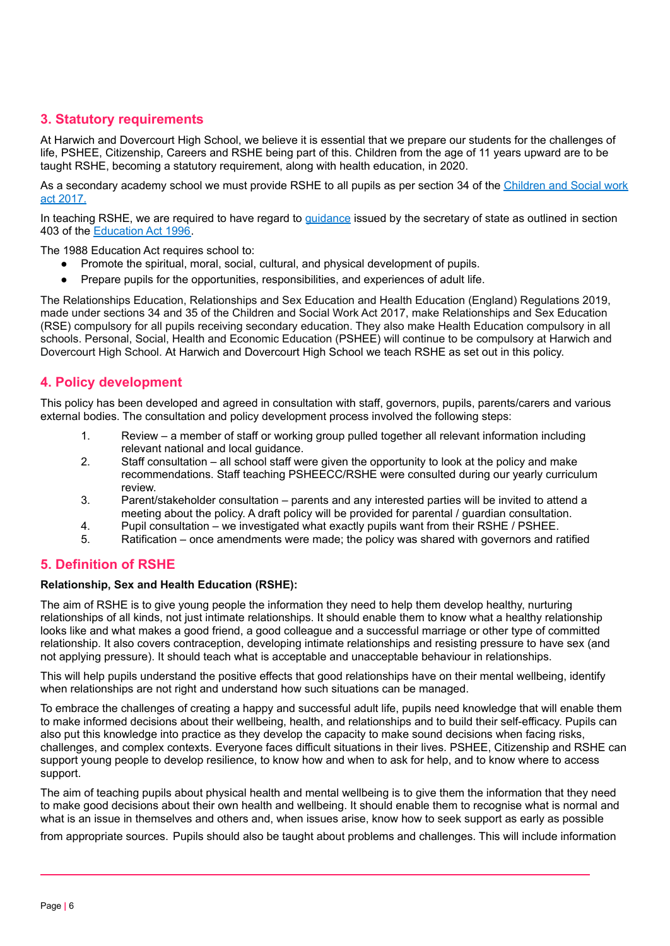#### <span id="page-5-0"></span>**3. Statutory requirements**

At Harwich and Dovercourt High School, we believe it is essential that we prepare our students for the challenges of life, PSHEE, Citizenship, Careers and RSHE being part of this. Children from the age of 11 years upward are to be taught RSHE, becoming a statutory requirement, along with health education, in 2020.

As a secondary academy school we must provide RSHE to all pupils as per section 34 of the [Children](http://www.legislation.gov.uk/ukpga/2017/16/section/34/enacted) and Social work act [2017.](http://www.legislation.gov.uk/ukpga/2017/16/section/34/enacted)

In teaching RSHE, we are required to have regard to *quidance* issued by the secretary of state as outlined in section 403 of the [Education](http://www.legislation.gov.uk/ukpga/1996/56/contents) Act 1996.

The 1988 Education Act requires school to:

- Promote the spiritual, moral, social, cultural, and physical development of pupils.
- Prepare pupils for the opportunities, responsibilities, and experiences of adult life.

The Relationships Education, Relationships and Sex Education and Health Education (England) Regulations 2019, made under sections 34 and 35 of the Children and Social Work Act 2017, make Relationships and Sex Education (RSE) compulsory for all pupils receiving secondary education. They also make Health Education compulsory in all schools. Personal, Social, Health and Economic Education (PSHEE) will continue to be compulsory at Harwich and Dovercourt High School. At Harwich and Dovercourt High School we teach RSHE as set out in this policy.

#### <span id="page-5-1"></span>**4. Policy development**

This policy has been developed and agreed in consultation with staff, governors, pupils, parents/carers and various external bodies. The consultation and policy development process involved the following steps:

- 1. Review a member of staff or working group pulled together all relevant information including relevant national and local guidance.
- 2. Staff consultation all school staff were given the opportunity to look at the policy and make recommendations. Staff teaching PSHEECC/RSHE were consulted during our yearly curriculum review.
- 3. Parent/stakeholder consultation parents and any interested parties will be invited to attend a meeting about the policy. A draft policy will be provided for parental / guardian consultation.
- 4. Pupil consultation we investigated what exactly pupils want from their RSHE / PSHEE.
- 5. Ratification once amendments were made; the policy was shared with governors and ratified

#### <span id="page-5-2"></span>**5. Definition of RSHE**

#### **Relationship, Sex and Health Education (RSHE):**

The aim of RSHE is to give young people the information they need to help them develop healthy, nurturing relationships of all kinds, not just intimate relationships. It should enable them to know what a healthy relationship looks like and what makes a good friend, a good colleague and a successful marriage or other type of committed relationship. It also covers contraception, developing intimate relationships and resisting pressure to have sex (and not applying pressure). It should teach what is acceptable and unacceptable behaviour in relationships.

This will help pupils understand the positive effects that good relationships have on their mental wellbeing, identify when relationships are not right and understand how such situations can be managed.

To embrace the challenges of creating a happy and successful adult life, pupils need knowledge that will enable them to make informed decisions about their wellbeing, health, and relationships and to build their self-efficacy. Pupils can also put this knowledge into practice as they develop the capacity to make sound decisions when facing risks, challenges, and complex contexts. Everyone faces difficult situations in their lives. PSHEE, Citizenship and RSHE can support young people to develop resilience, to know how and when to ask for help, and to know where to access support.

The aim of teaching pupils about physical health and mental wellbeing is to give them the information that they need to make good decisions about their own health and wellbeing. It should enable them to recognise what is normal and what is an issue in themselves and others and, when issues arise, know how to seek support as early as possible

from appropriate sources. Pupils should also be taught about problems and challenges. This will include information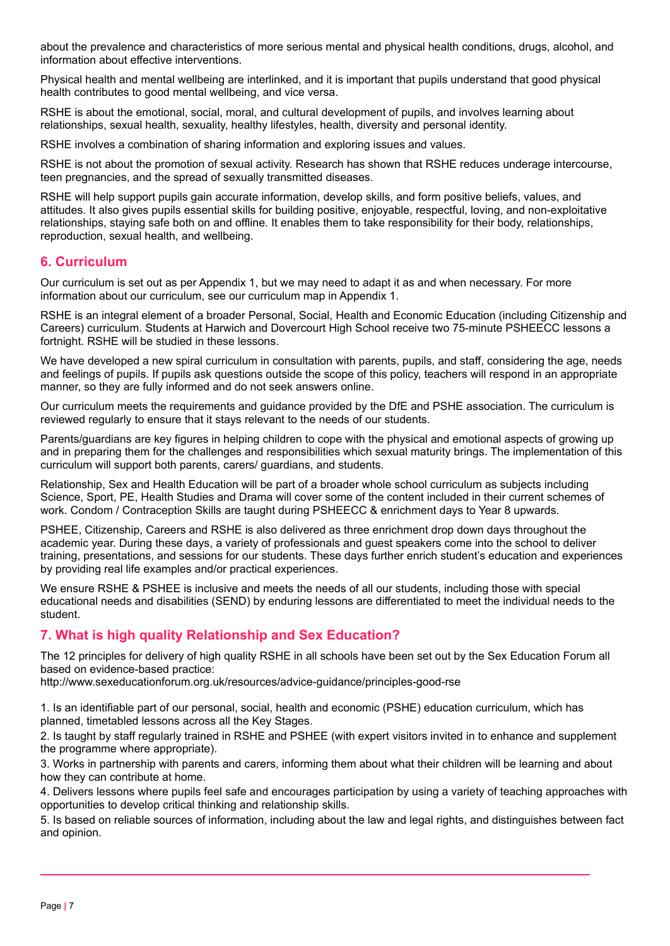about the prevalence and characteristics of more serious mental and physical health conditions, drugs, alcohol, and information about effective interventions.

Physical health and mental wellbeing are interlinked, and it is important that pupils understand that good physical health contributes to good mental wellbeing, and vice versa.

RSHE is about the emotional, social, moral, and cultural development of pupils, and involves learning about relationships, sexual health, sexuality, healthy lifestyles, health, diversity and personal identity.

RSHE involves a combination of sharing information and exploring issues and values.

RSHE is not about the promotion of sexual activity. Research has shown that RSHE reduces underage intercourse, teen pregnancies, and the spread of sexually transmitted diseases.

RSHE will help support pupils gain accurate information, develop skills, and form positive beliefs, values, and attitudes. It also gives pupils essential skills for building positive, enjoyable, respectful, loving, and non-exploitative relationships, staying safe both on and offline. It enables them to take responsibility for their body, relationships, reproduction, sexual health, and wellbeing.

#### <span id="page-6-0"></span>**6. Curriculum**

Our curriculum is set out as per Appendix 1, but we may need to adapt it as and when necessary. For more information about our curriculum, see our curriculum map in Appendix 1.

RSHE is an integral element of a broader Personal, Social, Health and Economic Education (including Citizenship and Careers) curriculum. Students at Harwich and Dovercourt High School receive two 75-minute PSHEECC lessons a fortnight. RSHE will be studied in these lessons.

We have developed a new spiral curriculum in consultation with parents, pupils, and staff, considering the age, needs and feelings of pupils. If pupils ask questions outside the scope of this policy, teachers will respond in an appropriate manner, so they are fully informed and do not seek answers online.

Our curriculum meets the requirements and guidance provided by the DfE and PSHE association. The curriculum is reviewed regularly to ensure that it stays relevant to the needs of our students.

Parents/guardians are key figures in helping children to cope with the physical and emotional aspects of growing up and in preparing them for the challenges and responsibilities which sexual maturity brings. The implementation of this curriculum will support both parents, carers/ guardians, and students.

Relationship, Sex and Health Education will be part of a broader whole school curriculum as subjects including Science, Sport, PE, Health Studies and Drama will cover some of the content included in their current schemes of work. Condom / Contraception Skills are taught during PSHEECC & enrichment days to Year 8 upwards.

PSHEE, Citizenship, Careers and RSHE is also delivered as three enrichment drop down days throughout the academic year. During these days, a variety of professionals and guest speakers come into the school to deliver training, presentations, and sessions for our students. These days further enrich student's education and experiences by providing real life examples and/or practical experiences.

We ensure RSHE & PSHEE is inclusive and meets the needs of all our students, including those with special educational needs and disabilities (SEND) by enduring lessons are differentiated to meet the individual needs to the student.

#### <span id="page-6-1"></span>**7. What is high quality Relationship and Sex Education?**

The 12 principles for delivery of high quality RSHE in all schools have been set out by the Sex Education Forum all based on evidence-based practice:

http://www.sexeducationforum.org.uk/resources/advice-guidance/principles-good-rse

1. Is an identifiable part of our personal, social, health and economic (PSHE) education curriculum, which has planned, timetabled lessons across all the Key Stages.

2. Is taught by staff regularly trained in RSHE and PSHEE (with expert visitors invited in to enhance and supplement the programme where appropriate).

3. Works in partnership with parents and carers, informing them about what their children will be learning and about how they can contribute at home.

4. Delivers lessons where pupils feel safe and encourages participation by using a variety of teaching approaches with opportunities to develop critical thinking and relationship skills.

5. Is based on reliable sources of information, including about the law and legal rights, and distinguishes between fact and opinion.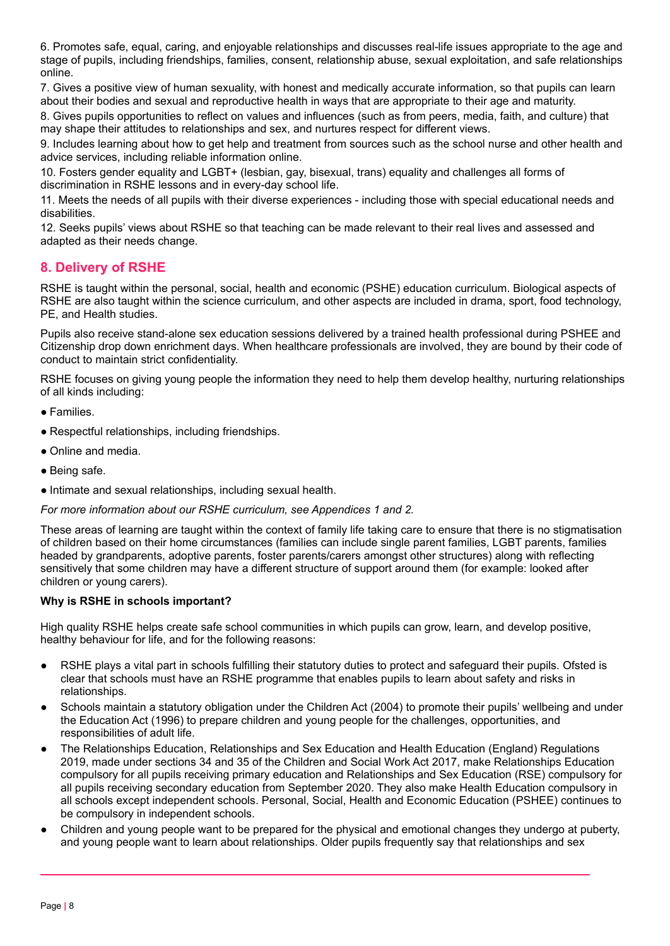6. Promotes safe, equal, caring, and enjoyable relationships and discusses real-life issues appropriate to the age and stage of pupils, including friendships, families, consent, relationship abuse, sexual exploitation, and safe relationships online.

7. Gives a positive view of human sexuality, with honest and medically accurate information, so that pupils can learn about their bodies and sexual and reproductive health in ways that are appropriate to their age and maturity.

8. Gives pupils opportunities to reflect on values and influences (such as from peers, media, faith, and culture) that may shape their attitudes to relationships and sex, and nurtures respect for different views.

9. Includes learning about how to get help and treatment from sources such as the school nurse and other health and advice services, including reliable information online.

10. Fosters gender equality and LGBT+ (lesbian, gay, bisexual, trans) equality and challenges all forms of discrimination in RSHE lessons and in every-day school life.

11. Meets the needs of all pupils with their diverse experiences - including those with special educational needs and disabilities.

12. Seeks pupils' views about RSHE so that teaching can be made relevant to their real lives and assessed and adapted as their needs change.

#### <span id="page-7-0"></span>**8. Delivery of RSHE**

RSHE is taught within the personal, social, health and economic (PSHE) education curriculum. Biological aspects of RSHE are also taught within the science curriculum, and other aspects are included in drama, sport, food technology, PE, and Health studies.

Pupils also receive stand-alone sex education sessions delivered by a trained health professional during PSHEE and Citizenship drop down enrichment days. When healthcare professionals are involved, they are bound by their code of conduct to maintain strict confidentiality.

RSHE focuses on giving young people the information they need to help them develop healthy, nurturing relationships of all kinds including:

- Families.
- Respectful relationships, including friendships.
- Online and media.
- Being safe.
- Intimate and sexual relationships, including sexual health.

*For more information about our RSHE curriculum, see Appendices 1 and 2.*

These areas of learning are taught within the context of family life taking care to ensure that there is no stigmatisation of children based on their home circumstances (families can include single parent families, LGBT parents, families headed by grandparents, adoptive parents, foster parents/carers amongst other structures) along with reflecting sensitively that some children may have a different structure of support around them (for example: looked after children or young carers).

#### **Why is RSHE in schools important?**

High quality RSHE helps create safe school communities in which pupils can grow, learn, and develop positive, healthy behaviour for life, and for the following reasons:

- RSHE plays a vital part in schools fulfilling their statutory duties to protect and safeguard their pupils. Ofsted is clear that schools must have an RSHE programme that enables pupils to learn about safety and risks in relationships.
- Schools maintain a statutory obligation under the Children Act (2004) to promote their pupils' wellbeing and under the Education Act (1996) to prepare children and young people for the challenges, opportunities, and responsibilities of adult life.
- The Relationships Education, Relationships and Sex Education and Health Education (England) Regulations 2019, made under sections 34 and 35 of the Children and Social Work Act 2017, make Relationships Education compulsory for all pupils receiving primary education and Relationships and Sex Education (RSE) compulsory for all pupils receiving secondary education from September 2020. They also make Health Education compulsory in all schools except independent schools. Personal, Social, Health and Economic Education (PSHEE) continues to be compulsory in independent schools.
- Children and young people want to be prepared for the physical and emotional changes they undergo at puberty, and young people want to learn about relationships. Older pupils frequently say that relationships and sex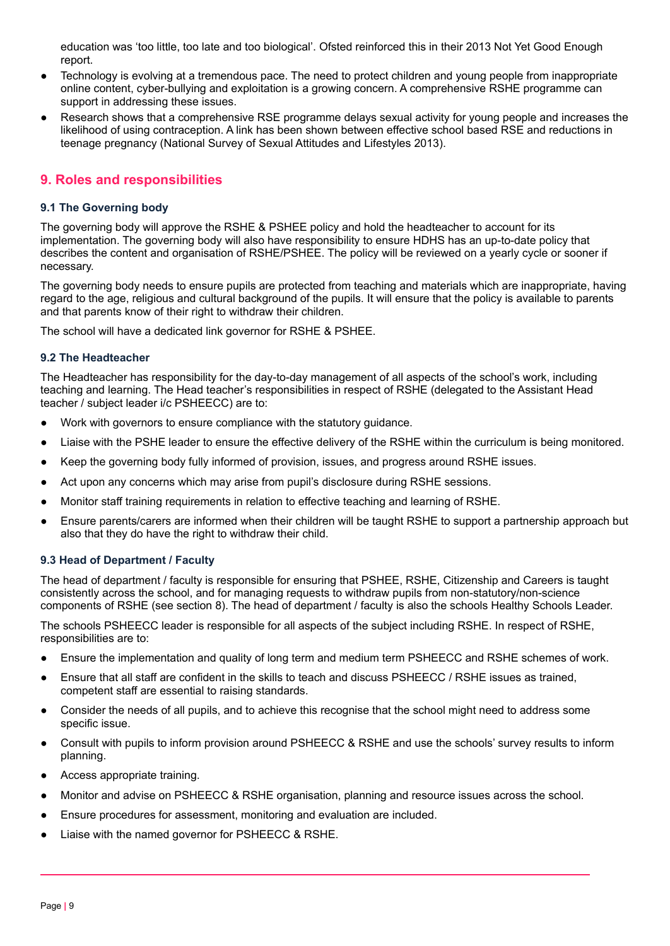education was 'too little, too late and too biological'. Ofsted reinforced this in their 2013 Not Yet Good Enough report.

- Technology is evolving at a tremendous pace. The need to protect children and young people from inappropriate online content, cyber-bullying and exploitation is a growing concern. A comprehensive RSHE programme can support in addressing these issues.
- Research shows that a comprehensive RSE programme delays sexual activity for young people and increases the likelihood of using contraception. A link has been shown between effective school based RSE and reductions in teenage pregnancy (National Survey of Sexual Attitudes and Lifestyles 2013).

#### <span id="page-8-0"></span>**9. Roles and responsibilities**

#### **9.1 The Governing body**

The governing body will approve the RSHE & PSHEE policy and hold the headteacher to account for its implementation. The governing body will also have responsibility to ensure HDHS has an up-to-date policy that describes the content and organisation of RSHE/PSHEE. The policy will be reviewed on a yearly cycle or sooner if necessary.

The governing body needs to ensure pupils are protected from teaching and materials which are inappropriate, having regard to the age, religious and cultural background of the pupils. It will ensure that the policy is available to parents and that parents know of their right to withdraw their children.

The school will have a dedicated link governor for RSHE & PSHEE.

#### **9.2 The Headteacher**

The Headteacher has responsibility for the day-to-day management of all aspects of the school's work, including teaching and learning. The Head teacher's responsibilities in respect of RSHE (delegated to the Assistant Head teacher / subject leader i/c PSHEECC) are to:

- Work with governors to ensure compliance with the statutory guidance.
- Liaise with the PSHE leader to ensure the effective delivery of the RSHE within the curriculum is being monitored.
- Keep the governing body fully informed of provision, issues, and progress around RSHE issues.
- Act upon any concerns which may arise from pupil's disclosure during RSHE sessions.
- Monitor staff training requirements in relation to effective teaching and learning of RSHE.
- Ensure parents/carers are informed when their children will be taught RSHE to support a partnership approach but also that they do have the right to withdraw their child.

#### **9.3 Head of Department / Faculty**

The head of department / faculty is responsible for ensuring that PSHEE, RSHE, Citizenship and Careers is taught consistently across the school, and for managing requests to withdraw pupils from non-statutory/non-science components of RSHE (see section 8). The head of department / faculty is also the schools Healthy Schools Leader.

The schools PSHEECC leader is responsible for all aspects of the subject including RSHE. In respect of RSHE, responsibilities are to:

- Ensure the implementation and quality of long term and medium term PSHEECC and RSHE schemes of work.
- Ensure that all staff are confident in the skills to teach and discuss PSHEECC / RSHE issues as trained, competent staff are essential to raising standards.
- Consider the needs of all pupils, and to achieve this recognise that the school might need to address some specific issue.
- Consult with pupils to inform provision around PSHEECC & RSHE and use the schools' survey results to inform planning.
- Access appropriate training.
- Monitor and advise on PSHEECC & RSHE organisation, planning and resource issues across the school.
- Ensure procedures for assessment, monitoring and evaluation are included.
- Liaise with the named governor for PSHEECC & RSHE.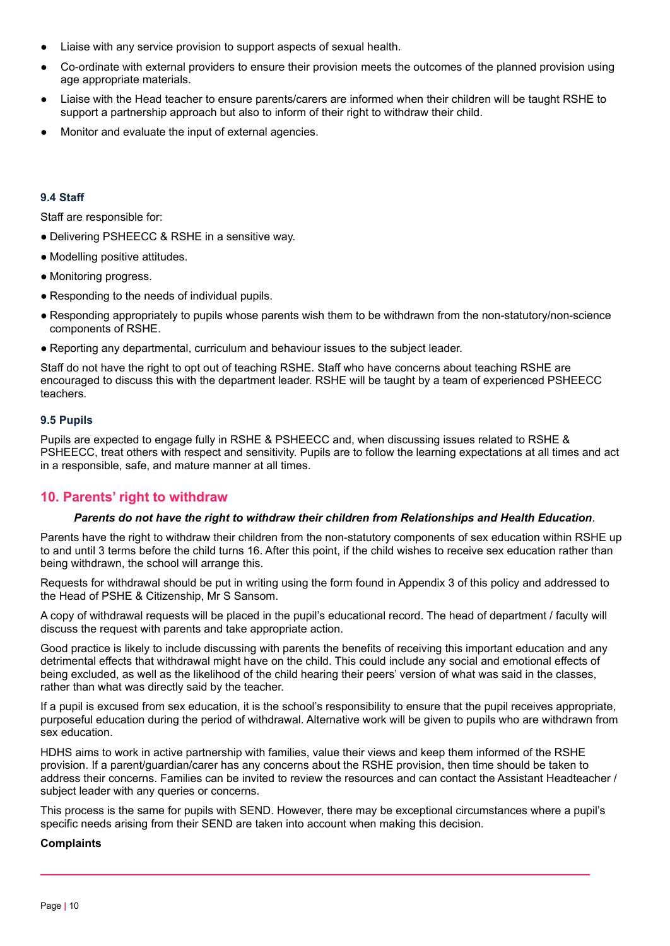- Liaise with any service provision to support aspects of sexual health.
- Co-ordinate with external providers to ensure their provision meets the outcomes of the planned provision using age appropriate materials.
- Liaise with the Head teacher to ensure parents/carers are informed when their children will be taught RSHE to support a partnership approach but also to inform of their right to withdraw their child.
- Monitor and evaluate the input of external agencies.

#### **9.4 Staff**

Staff are responsible for:

- Delivering PSHEECC & RSHE in a sensitive way.
- Modelling positive attitudes.
- Monitoring progress.
- Responding to the needs of individual pupils.
- Responding appropriately to pupils whose parents wish them to be withdrawn from the non-statutory/non-science components of RSHE.
- Reporting any departmental, curriculum and behaviour issues to the subject leader.

Staff do not have the right to opt out of teaching RSHE. Staff who have concerns about teaching RSHE are encouraged to discuss this with the department leader. RSHE will be taught by a team of experienced PSHEECC teachers.

#### **9.5 Pupils**

Pupils are expected to engage fully in RSHE & PSHEECC and, when discussing issues related to RSHE & PSHEECC, treat others with respect and sensitivity. Pupils are to follow the learning expectations at all times and act in a responsible, safe, and mature manner at all times.

#### <span id="page-9-0"></span>**10. Parents' right to withdraw**

#### *Parents do not have the right to withdraw their children from Relationships and Health Education*.

Parents have the right to withdraw their children from the non-statutory components of sex education within RSHE up to and until 3 terms before the child turns 16. After this point, if the child wishes to receive sex education rather than being withdrawn, the school will arrange this.

Requests for withdrawal should be put in writing using the form found in Appendix 3 of this policy and addressed to the Head of PSHE & Citizenship, Mr S Sansom.

A copy of withdrawal requests will be placed in the pupil's educational record. The head of department / faculty will discuss the request with parents and take appropriate action.

Good practice is likely to include discussing with parents the benefits of receiving this important education and any detrimental effects that withdrawal might have on the child. This could include any social and emotional effects of being excluded, as well as the likelihood of the child hearing their peers' version of what was said in the classes, rather than what was directly said by the teacher.

If a pupil is excused from sex education, it is the school's responsibility to ensure that the pupil receives appropriate, purposeful education during the period of withdrawal. Alternative work will be given to pupils who are withdrawn from sex education.

HDHS aims to work in active partnership with families, value their views and keep them informed of the RSHE provision. If a parent/guardian/carer has any concerns about the RSHE provision, then time should be taken to address their concerns. Families can be invited to review the resources and can contact the Assistant Headteacher / subject leader with any queries or concerns.

This process is the same for pupils with SEND. However, there may be exceptional circumstances where a pupil's specific needs arising from their SEND are taken into account when making this decision.

#### **Complaints**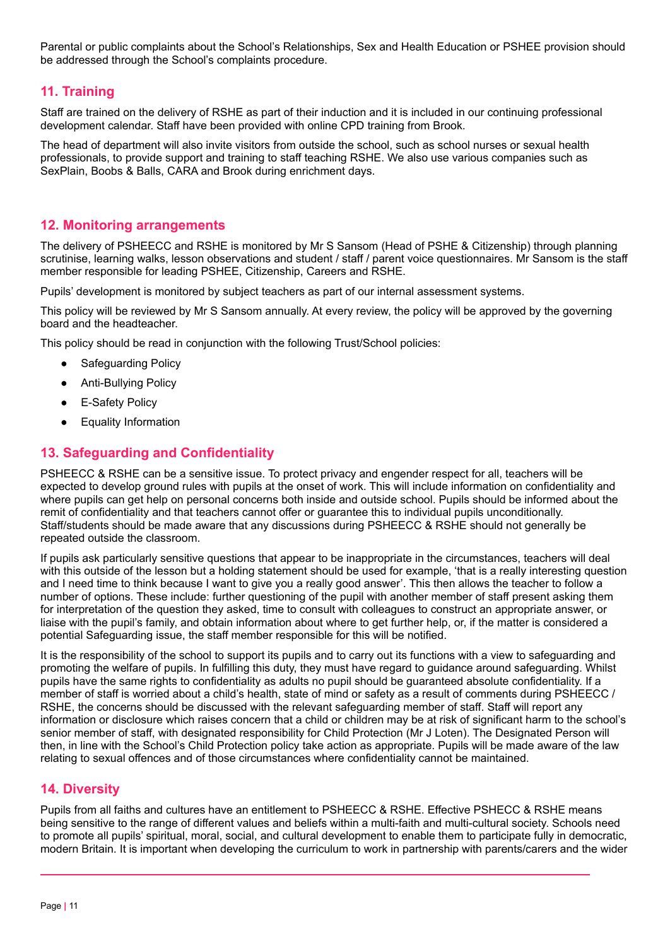Parental or public complaints about the School's Relationships, Sex and Health Education or PSHEE provision should be addressed through the School's complaints procedure.

#### <span id="page-10-0"></span>**11. Training**

Staff are trained on the delivery of RSHE as part of their induction and it is included in our continuing professional development calendar. Staff have been provided with online CPD training from Brook.

The head of department will also invite visitors from outside the school, such as school nurses or sexual health professionals, to provide support and training to staff teaching RSHE. We also use various companies such as SexPlain, Boobs & Balls, CARA and Brook during enrichment days.

#### <span id="page-10-1"></span>**12. Monitoring arrangements**

The delivery of PSHEECC and RSHE is monitored by Mr S Sansom (Head of PSHE & Citizenship) through planning scrutinise, learning walks, lesson observations and student / staff / parent voice questionnaires. Mr Sansom is the staff member responsible for leading PSHEE, Citizenship, Careers and RSHE.

Pupils' development is monitored by subject teachers as part of our internal assessment systems.

This policy will be reviewed by Mr S Sansom annually. At every review, the policy will be approved by the governing board and the headteacher.

This policy should be read in conjunction with the following Trust/School policies:

- Safequarding Policy
- Anti-Bullying Policy
- **E-Safety Policy**
- **Equality Information**

#### <span id="page-10-2"></span>**13. Safeguarding and Confidentiality**

PSHEECC & RSHE can be a sensitive issue. To protect privacy and engender respect for all, teachers will be expected to develop ground rules with pupils at the onset of work. This will include information on confidentiality and where pupils can get help on personal concerns both inside and outside school. Pupils should be informed about the remit of confidentiality and that teachers cannot offer or guarantee this to individual pupils unconditionally. Staff/students should be made aware that any discussions during PSHEECC & RSHE should not generally be repeated outside the classroom.

If pupils ask particularly sensitive questions that appear to be inappropriate in the circumstances, teachers will deal with this outside of the lesson but a holding statement should be used for example, 'that is a really interesting question and I need time to think because I want to give you a really good answer'. This then allows the teacher to follow a number of options. These include: further questioning of the pupil with another member of staff present asking them for interpretation of the question they asked, time to consult with colleagues to construct an appropriate answer, or liaise with the pupil's family, and obtain information about where to get further help, or, if the matter is considered a potential Safeguarding issue, the staff member responsible for this will be notified.

It is the responsibility of the school to support its pupils and to carry out its functions with a view to safeguarding and promoting the welfare of pupils. In fulfilling this duty, they must have regard to guidance around safeguarding. Whilst pupils have the same rights to confidentiality as adults no pupil should be guaranteed absolute confidentiality. If a member of staff is worried about a child's health, state of mind or safety as a result of comments during PSHEECC / RSHE, the concerns should be discussed with the relevant safeguarding member of staff. Staff will report any information or disclosure which raises concern that a child or children may be at risk of significant harm to the school's senior member of staff, with designated responsibility for Child Protection (Mr J Loten). The Designated Person will then, in line with the School's Child Protection policy take action as appropriate. Pupils will be made aware of the law relating to sexual offences and of those circumstances where confidentiality cannot be maintained.

#### <span id="page-10-3"></span>**14. Diversity**

Pupils from all faiths and cultures have an entitlement to PSHEECC & RSHE. Effective PSHECC & RSHE means being sensitive to the range of different values and beliefs within a multi-faith and multi-cultural society. Schools need to promote all pupils' spiritual, moral, social, and cultural development to enable them to participate fully in democratic, modern Britain. It is important when developing the curriculum to work in partnership with parents/carers and the wider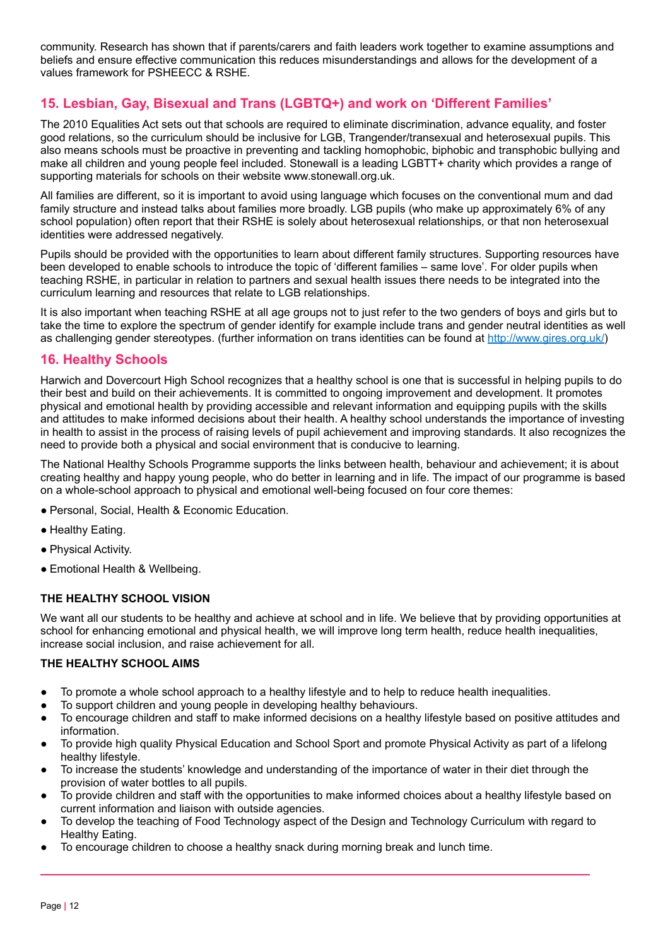community. Research has shown that if parents/carers and faith leaders work together to examine assumptions and beliefs and ensure effective communication this reduces misunderstandings and allows for the development of a values framework for PSHEECC & RSHE.

#### <span id="page-11-0"></span>**15. Lesbian, Gay, Bisexual and Trans (LGBTQ+) and work on 'Different Families'**

The 2010 Equalities Act sets out that schools are required to eliminate discrimination, advance equality, and foster good relations, so the curriculum should be inclusive for LGB, Trangender/transexual and heterosexual pupils. This also means schools must be proactive in preventing and tackling homophobic, biphobic and transphobic bullying and make all children and young people feel included. Stonewall is a leading LGBTT+ charity which provides a range of supporting materials for schools on their website www.stonewall.org.uk.

All families are different, so it is important to avoid using language which focuses on the conventional mum and dad family structure and instead talks about families more broadly. LGB pupils (who make up approximately 6% of any school population) often report that their RSHE is solely about heterosexual relationships, or that non heterosexual identities were addressed negatively.

Pupils should be provided with the opportunities to learn about different family structures. Supporting resources have been developed to enable schools to introduce the topic of 'different families – same love'. For older pupils when teaching RSHE, in particular in relation to partners and sexual health issues there needs to be integrated into the curriculum learning and resources that relate to LGB relationships.

It is also important when teaching RSHE at all age groups not to just refer to the two genders of boys and girls but to take the time to explore the spectrum of gender identify for example include trans and gender neutral identities as well as challenging gender stereotypes. (further information on trans identities can be found at [http://www.gires.org.uk/\)](http://www.gires.org.uk/)

#### <span id="page-11-1"></span>**16. Healthy Schools**

Harwich and Dovercourt High School recognizes that a healthy school is one that is successful in helping pupils to do their best and build on their achievements. It is committed to ongoing improvement and development. It promotes physical and emotional health by providing accessible and relevant information and equipping pupils with the skills and attitudes to make informed decisions about their health. A healthy school understands the importance of investing in health to assist in the process of raising levels of pupil achievement and improving standards. It also recognizes the need to provide both a physical and social environment that is conducive to learning.

The National Healthy Schools Programme supports the links between health, behaviour and achievement; it is about creating healthy and happy young people, who do better in learning and in life. The impact of our programme is based on a whole-school approach to physical and emotional well-being focused on four core themes:

- Personal, Social, Health & Economic Education.
- Healthy Eating.
- Physical Activity.
- Emotional Health & Wellbeing.

#### **THE HEALTHY SCHOOL VISION**

We want all our students to be healthy and achieve at school and in life. We believe that by providing opportunities at school for enhancing emotional and physical health, we will improve long term health, reduce health inequalities, increase social inclusion, and raise achievement for all.

#### **THE HEALTHY SCHOOL AIMS**

- To promote a whole school approach to a healthy lifestyle and to help to reduce health inequalities.
- To support children and young people in developing healthy behaviours.
- To encourage children and staff to make informed decisions on a healthy lifestyle based on positive attitudes and information.
- To provide high quality Physical Education and School Sport and promote Physical Activity as part of a lifelong healthy lifestyle.
- To increase the students' knowledge and understanding of the importance of water in their diet through the provision of water bottles to all pupils.
- To provide children and staff with the opportunities to make informed choices about a healthy lifestyle based on current information and liaison with outside agencies.
- To develop the teaching of Food Technology aspect of the Design and Technology Curriculum with regard to Healthy Eating.
- To encourage children to choose a healthy snack during morning break and lunch time.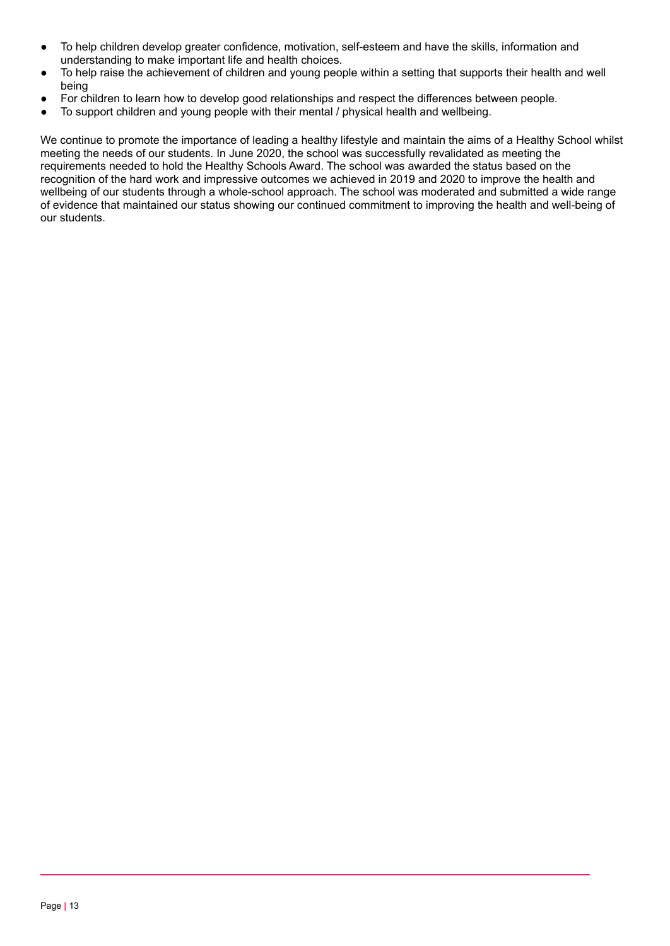- To help children develop greater confidence, motivation, self-esteem and have the skills, information and understanding to make important life and health choices.
- To help raise the achievement of children and young people within a setting that supports their health and well being
- For children to learn how to develop good relationships and respect the differences between people.
- To support children and young people with their mental / physical health and wellbeing.

We continue to promote the importance of leading a healthy lifestyle and maintain the aims of a Healthy School whilst meeting the needs of our students. In June 2020, the school was successfully revalidated as meeting the requirements needed to hold the Healthy Schools Award. The school was awarded the status based on the recognition of the hard work and impressive outcomes we achieved in 2019 and 2020 to improve the health and wellbeing of our students through a whole-school approach. The school was moderated and submitted a wide range of evidence that maintained our status showing our continued commitment to improving the health and well-being of our students.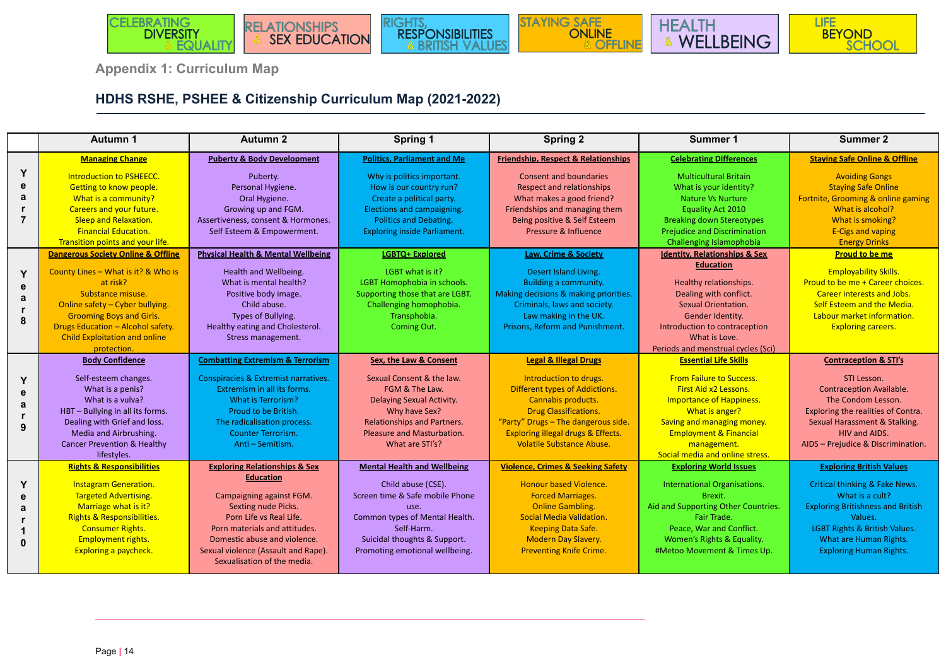

**Appendix 1: Curriculum Map**

## **HDHS RSHE, PSHEE & Citizenship Curriculum Map (2021-2022)**

<span id="page-13-0"></span>

|   | Autumn 1                                      | Autumn 2                                      | Spring 1                            | <b>Spring 2</b>                                | Summer 1                                 | Summer 2                                 |
|---|-----------------------------------------------|-----------------------------------------------|-------------------------------------|------------------------------------------------|------------------------------------------|------------------------------------------|
|   | <b>Managing Change</b>                        | <b>Puberty &amp; Body Development</b>         | <b>Politics. Parliament and Me</b>  | <b>Friendship, Respect &amp; Relationships</b> | <b>Celebrating Differences</b>           | <b>Staving Safe Online &amp; Offline</b> |
| Υ | Introduction to PSHEECC.                      | Puberty.                                      | Why is politics important.          | <b>Consent and boundaries</b>                  | <b>Multicultural Britain</b>             | <b>Avoiding Gangs</b>                    |
| е | Getting to know people.                       | Personal Hygiene.                             | How is our country run?             | <b>Respect and relationships</b>               | What is your identity?                   | <b>Staying Safe Online</b>               |
| a | What is a community?                          | Oral Hygiene.                                 | Create a political party.           | What makes a good friend?                      | Nature Vs Nurture                        | Fortnite, Grooming & online gaming       |
|   | Careers and your future.                      | Growing up and FGM.                           | Elections and campaigning.          | Friendships and managing them                  | Equality Act 2010                        | What is alcohol?                         |
|   | <b>Sleep and Relaxation.</b>                  | Assertiveness, consent & Hormones.            | <b>Politics and Debating.</b>       | Being positive & Self Esteem                   | <b>Breaking down Stereotypes</b>         | What is smoking?                         |
|   | <b>Financial Education.</b>                   | Self Esteem & Empowerment.                    | <b>Exploring inside Parliament.</b> | Pressure & Influence                           | <b>Prejudice and Discrimination</b>      | <b>E-Cigs and vaping</b>                 |
|   | <b>Transition points and your life.</b>       |                                               |                                     |                                                | Challenging Islamophobia                 | <b>Energy Drinks</b>                     |
|   | <b>Dangerous Society Online &amp; Offline</b> | <b>Physical Health &amp; Mental Wellbeing</b> | LGBTQ+ Explored                     | Law, Crime & Society                           | <b>Identity, Relationships &amp; Sex</b> | <b>Proud to be me</b>                    |
|   | County Lines - What is it? & Who is           | Health and Wellbeing.                         | LGBT what is it?                    | Desert Island Living.                          | <b>Education</b>                         | <b>Employability Skills.</b>             |
| Y | at risk?                                      | What is mental health?                        | LGBT Homophobia in schools.         | Building a community.                          | Healthy relationships.                   | Proud to be me + Career choices.         |
| e | Substance misuse.                             | Positive body image.                          | Supporting those that are LGBT.     | Making decisions & making priorities.          | Dealing with conflict.                   | Career interests and Jobs.               |
| a | Online safety - Cyber bullying.               | Child abuse.                                  | Challenging homophobia.             | Criminals, laws and society.                   | Sexual Orientation.                      | Self Esteem and the Media.               |
|   | <b>Grooming Boys and Girls.</b>               | Types of Bullying.                            | Transphobia.                        | Law making in the UK.                          | Gender Identity.                         | Labour market information.               |
|   | Drugs Education - Alcohol safety.             | Healthy eating and Cholesterol.               | Coming Out.                         | Prisons, Reform and Punishment.                | Introduction to contraception            | <b>Exploring careers.</b>                |
|   | <b>Child Exploitation and online</b>          | Stress management.                            |                                     |                                                | What is Love.                            |                                          |
|   | protection.                                   |                                               |                                     |                                                | Periods and menstrual cycles (Sci)       |                                          |
|   | <b>Body Confidence</b>                        | <b>Combatting Extremism &amp; Terrorism</b>   | Sex, the Law & Consent              | <b>Legal &amp; Illegal Drugs</b>               | <b>Essential Life Skills</b>             | <b>Contraception &amp; STI's</b>         |
| Υ | Self-esteem changes.                          | Conspiracies & Extremist narratives.          | Sexual Consent & the law.           | Introduction to drugs.                         | <b>From Failure to Success.</b>          | STI Lesson.                              |
| e | What is a penis?                              | Extremism in all its forms.                   | FGM & The Law.                      | Different types of Addictions.                 | <b>First Aid x2 Lessons.</b>             | <b>Contraception Available.</b>          |
| a | What is a vulva?                              | What is Terrorism?                            | Delaying Sexual Activity.           | Cannabis products.                             | Importance of Happiness.                 | The Condom Lesson.                       |
|   | HBT - Bullying in all its forms.              | Proud to be British.                          | Why have Sex?                       | <b>Drug Classifications.</b>                   | What is anger?                           | Exploring the realities of Contra.       |
|   | Dealing with Grief and loss.                  | The radicalisation process.                   | <b>Relationships and Partners.</b>  | "Party" Drugs - The dangerous side.            | Saving and managing money.               | Sexual Harassment & Stalking.            |
|   | Media and Airbrushing.                        | Counter Terrorism.                            | Pleasure and Masturbation.          | <b>Exploring illegal drugs &amp; Effects.</b>  | <b>Employment &amp; Financial</b>        | HIV and AIDS.                            |
|   | <b>Cancer Prevention &amp; Healthy</b>        | Anti – Semitism.                              | What are STI's?                     | <b>Volatile Substance Abuse.</b>               | management.                              | AIDS - Prejudice & Discrimination.       |
|   | lifestyles.                                   |                                               |                                     |                                                | Social media and online stress.          |                                          |
|   | <b>Rights &amp; Responsibilities</b>          | <b>Exploring Relationships &amp; Sex</b>      | <b>Mental Health and Wellbeing</b>  | <b>Violence, Crimes &amp; Seeking Safety</b>   | <b>Exploring World Issues</b>            | <b>Exploring British Values</b>          |
| Υ | <b>Instagram Generation.</b>                  | <b>Education</b>                              | Child abuse (CSE).                  | <b>Honour based Violence.</b>                  | International Organisations.             | Critical thinking & Fake News.           |
| e | <b>Targeted Advertising.</b>                  | Campaigning against FGM.                      | Screen time & Safe mobile Phone     | <b>Forced Marriages.</b>                       | Brexit.                                  | What is a cult?                          |
| a | Marriage what is it?                          | Sexting nude Picks.                           | use.                                | <b>Online Gambling.</b>                        | Aid and Supporting Other Countries.      | <b>Exploring Britishness and British</b> |
|   | <b>Rights &amp; Responsibilities.</b>         | Porn Life vs Real Life.                       | Common types of Mental Health.      | Social Media Validation.                       | Fair Trade.                              | Values.                                  |
|   | <b>Consumer Rights.</b>                       | Porn materials and attitudes.                 | Self-Harm.                          | Keeping Data Safe.                             | Peace, War and Conflict.                 | LGBT Rights & British Values.            |
|   | <b>Employment rights.</b>                     | Domestic abuse and violence.                  | Suicidal thoughts & Support.        | <b>Modern Day Slavery.</b>                     | Women's Rights & Equality.               | What are Human Rights.                   |
|   | Exploring a paycheck.                         | Sexual violence (Assault and Rape).           | Promoting emotional wellbeing.      | <b>Preventing Knife Crime.</b>                 | #Metoo Movement & Times Up.              | <b>Exploring Human Rights.</b>           |
|   |                                               | Sexualisation of the media.                   |                                     |                                                |                                          |                                          |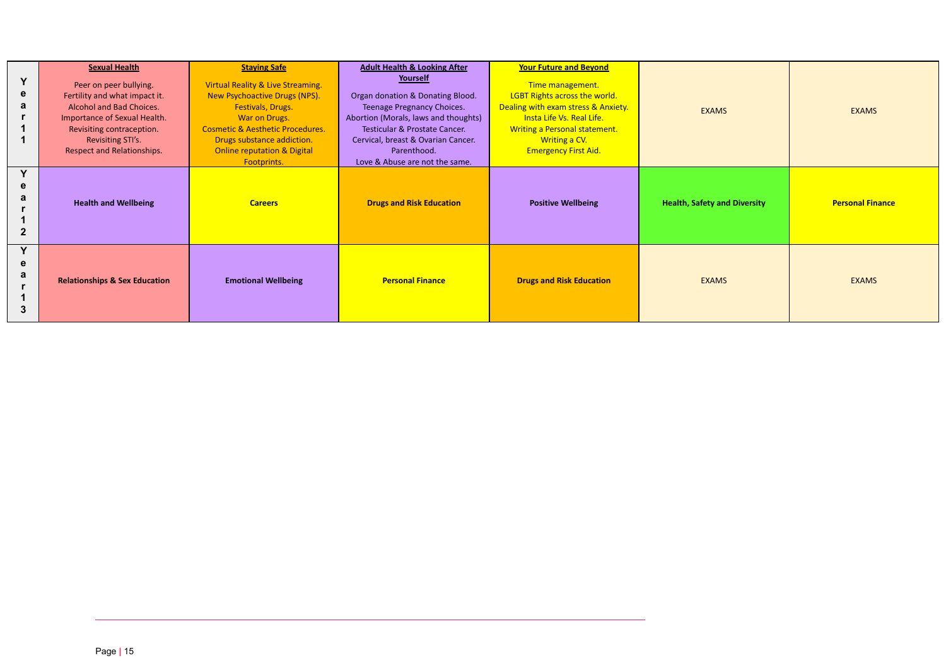| <b>Sexual Health</b><br>Peer on peer bullying.<br>Fertility and what impact it.<br><b>Alcohol and Bad Choices.</b><br>Importance of Sexual Health.<br>Revisiting contraception.<br>Revisiting STI's.<br>Respect and Relationships. | <b>Staving Safe</b><br>Virtual Reality & Live Streaming.<br>New Psychoactive Drugs (NPS).<br>Festivals, Drugs.<br>War on Drugs.<br><b>Cosmetic &amp; Aesthetic Procedures.</b><br>Drugs substance addiction.<br><b>Online reputation &amp; Digital</b><br>Footprints. | <b>Adult Health &amp; Looking After</b><br>Yourself<br>Organ donation & Donating Blood.<br>Teenage Pregnancy Choices.<br>Abortion (Morals, laws and thoughts)<br>Testicular & Prostate Cancer.<br>Cervical, breast & Ovarian Cancer.<br>Parenthood.<br>Love & Abuse are not the same. | <b>Your Future and Beyond</b><br>Time management.<br>LGBT Rights across the world.<br>Dealing with exam stress & Anxiety.<br>Insta Life Vs. Real Life.<br><b>Writing a Personal statement.</b><br>Writing a CV.<br><b>Emergency First Aid.</b> | <b>EXAMS</b>                        | <b>EXAMS</b>            |
|------------------------------------------------------------------------------------------------------------------------------------------------------------------------------------------------------------------------------------|-----------------------------------------------------------------------------------------------------------------------------------------------------------------------------------------------------------------------------------------------------------------------|---------------------------------------------------------------------------------------------------------------------------------------------------------------------------------------------------------------------------------------------------------------------------------------|------------------------------------------------------------------------------------------------------------------------------------------------------------------------------------------------------------------------------------------------|-------------------------------------|-------------------------|
| <b>Health and Wellbeing</b>                                                                                                                                                                                                        | <b>Careers</b>                                                                                                                                                                                                                                                        | <b>Drugs and Risk Education</b>                                                                                                                                                                                                                                                       | <b>Positive Wellbeing</b>                                                                                                                                                                                                                      | <b>Health, Safety and Diversity</b> | <b>Personal Finance</b> |
| <b>Relationships &amp; Sex Education</b>                                                                                                                                                                                           | <b>Emotional Wellbeing</b>                                                                                                                                                                                                                                            | <b>Personal Finance</b>                                                                                                                                                                                                                                                               | <b>Drugs and Risk Education</b>                                                                                                                                                                                                                | <b>EXAMS</b>                        | <b>EXAMS</b>            |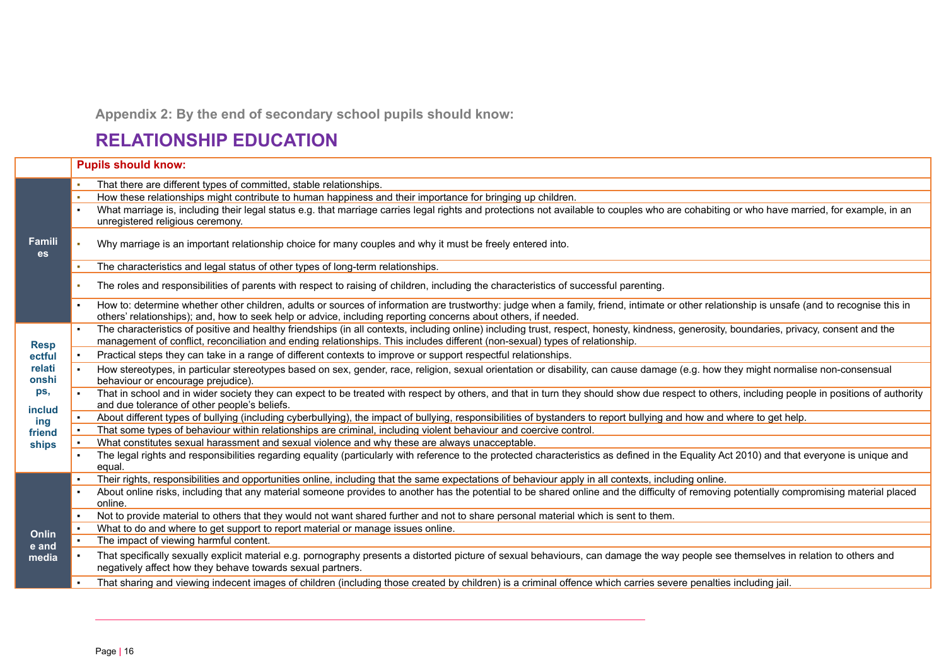## **Appendix 2: By the end of secondary school pupils should know:**

## **RELATIONSHIP EDUCATION**

<span id="page-15-0"></span>

|                         | <b>Pupils should know:</b>                                                                                                                                                                                                                                                                                                |
|-------------------------|---------------------------------------------------------------------------------------------------------------------------------------------------------------------------------------------------------------------------------------------------------------------------------------------------------------------------|
|                         | That there are different types of committed, stable relationships.                                                                                                                                                                                                                                                        |
|                         | How these relationships might contribute to human happiness and their importance for bringing up children.<br>×.                                                                                                                                                                                                          |
|                         | What marriage is, including their legal status e.g. that marriage carries legal rights and protections not available to couples who are cohabiting or who have married, for example, in an                                                                                                                                |
|                         | unregistered religious ceremony.                                                                                                                                                                                                                                                                                          |
| Famili<br><b>es</b>     | Why marriage is an important relationship choice for many couples and why it must be freely entered into.                                                                                                                                                                                                                 |
|                         | The characteristics and legal status of other types of long-term relationships.                                                                                                                                                                                                                                           |
|                         | The roles and responsibilities of parents with respect to raising of children, including the characteristics of successful parenting.                                                                                                                                                                                     |
|                         | How to: determine whether other children, adults or sources of information are trustworthy: judge when a family, friend, intimate or other relationship is unsafe (and to recognise this in<br>others' relationships); and, how to seek help or advice, including reporting concerns about others, if needed.             |
| <b>Resp</b>             | The characteristics of positive and healthy friendships (in all contexts, including online) including trust, respect, honesty, kindness, generosity, boundaries, privacy, consent and the<br>management of conflict, reconciliation and ending relationships. This includes different (non-sexual) types of relationship. |
| ectful                  | Practical steps they can take in a range of different contexts to improve or support respectful relationships.                                                                                                                                                                                                            |
| relati<br>onshi         | How stereotypes, in particular stereotypes based on sex, gender, race, religion, sexual orientation or disability, can cause damage (e.g. how they might normalise non-consensual<br>behaviour or encourage prejudice).                                                                                                   |
| ps,<br><b>includ</b>    | That in school and in wider society they can expect to be treated with respect by others, and that in turn they should show due respect to others, including people in positions of authority<br>and due tolerance of other people's beliefs.                                                                             |
| ing                     | About different types of bullying (including cyberbullying), the impact of bullying, responsibilities of bystanders to report bullying and how and where to get help.                                                                                                                                                     |
| friend                  | That some types of behaviour within relationships are criminal, including violent behaviour and coercive control.                                                                                                                                                                                                         |
| ships                   | What constitutes sexual harassment and sexual violence and why these are always unacceptable.                                                                                                                                                                                                                             |
|                         | The legal rights and responsibilities regarding equality (particularly with reference to the protected characteristics as defined in the Equality Act 2010) and that everyone is unique and<br>equal.                                                                                                                     |
|                         | Their rights, responsibilities and opportunities online, including that the same expectations of behaviour apply in all contexts, including online.                                                                                                                                                                       |
|                         | About online risks, including that any material someone provides to another has the potential to be shared online and the difficulty of removing potentially compromising material placed<br>online.                                                                                                                      |
|                         | Not to provide material to others that they would not want shared further and not to share personal material which is sent to them.<br>$\blacksquare$                                                                                                                                                                     |
| Onlin<br>e and<br>media | What to do and where to get support to report material or manage issues online.                                                                                                                                                                                                                                           |
|                         | The impact of viewing harmful content.                                                                                                                                                                                                                                                                                    |
|                         | That specifically sexually explicit material e.g. pornography presents a distorted picture of sexual behaviours, can damage the way people see themselves in relation to others and<br>negatively affect how they behave towards sexual partners.                                                                         |
|                         | That sharing and viewing indecent images of children (including those created by children) is a criminal offence which carries severe penalties including jail.                                                                                                                                                           |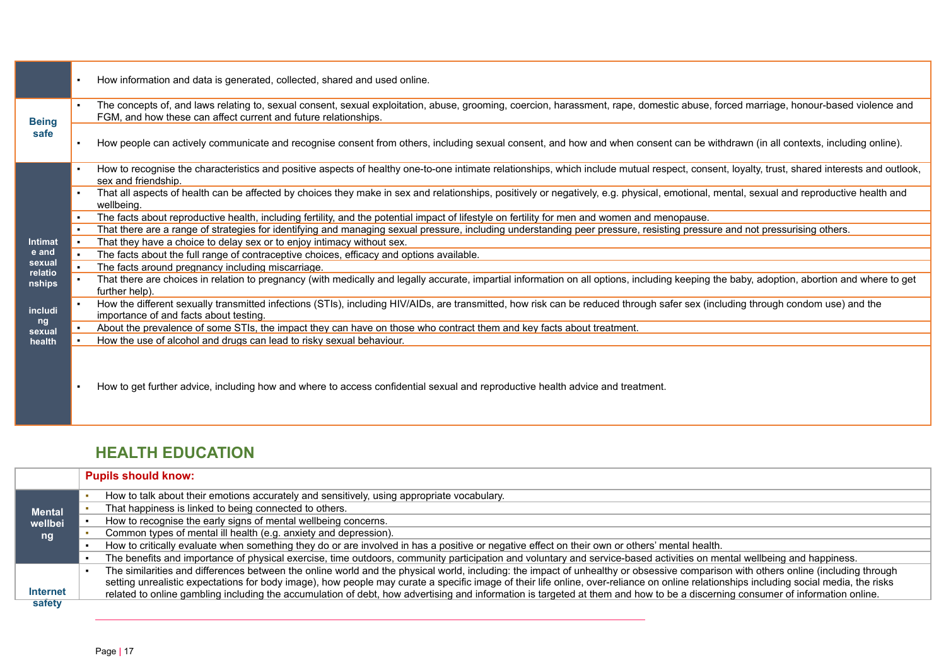|                      | How information and data is generated, collected, shared and used online.                                                                                                                                                                              |
|----------------------|--------------------------------------------------------------------------------------------------------------------------------------------------------------------------------------------------------------------------------------------------------|
| <b>Being</b><br>safe | The concepts of, and laws relating to, sexual consent, sexual exploitation, abuse, grooming, coercion, harassment, rape, domestic abuse, forced marriage, honour-based violence and<br>FGM, and how these can affect current and future relationships. |
|                      | How people can actively communicate and recognise consent from others, including sexual consent, and how and when consent can be withdrawn (in all contexts, including online).<br>$\blacksquare$                                                      |
|                      | How to recognise the characteristics and positive aspects of healthy one-to-one intimate relationships, which include mutual respect, consent, loyalty, trust, shared interests and outlook,<br>sex and friendship.                                    |
|                      | That all aspects of health can be affected by choices they make in sex and relationships, positively or negatively, e.g. physical, emotional, mental, sexual and reproductive health and<br>wellbeing.                                                 |
|                      | The facts about reproductive health, including fertility, and the potential impact of lifestyle on fertility for men and women and menopause.                                                                                                          |
|                      | That there are a range of strategies for identifying and managing sexual pressure, including understanding peer pressure, resisting pressure and not pressurising others.                                                                              |
| <b>Intimat</b>       | That they have a choice to delay sex or to enjoy intimacy without sex.                                                                                                                                                                                 |
| e and                | The facts about the full range of contraceptive choices, efficacy and options available.                                                                                                                                                               |
| sexual               | The facts around pregnancy including miscarriage.                                                                                                                                                                                                      |
| relatio<br>nships    | That there are choices in relation to pregnancy (with medically and legally accurate, impartial information on all options, including keeping the baby, adoption, abortion and where to get<br>further help).                                          |
| includi              | How the different sexually transmitted infections (STIs), including HIV/AIDs, are transmitted, how risk can be reduced through safer sex (including through condom use) and the<br>importance of and facts about testing.                              |
| ng<br>sexual         | About the prevalence of some STIs, the impact they can have on those who contract them and key facts about treatment.                                                                                                                                  |
| health               | How the use of alcohol and drugs can lead to risky sexual behaviour.                                                                                                                                                                                   |
|                      | How to get further advice, including how and where to access confidential sexual and reproductive health advice and treatment.                                                                                                                         |

## **HEALTH EDUCATION**

|                 | <b>Pupils should know:</b>                                                                                                                                                             |
|-----------------|----------------------------------------------------------------------------------------------------------------------------------------------------------------------------------------|
|                 | How to talk about their emotions accurately and sensitively, using appropriate vocabulary.                                                                                             |
| <b>Mental</b>   | That happiness is linked to being connected to others.                                                                                                                                 |
| wellbei         | How to recognise the early signs of mental wellbeing concerns.                                                                                                                         |
| ng              | Common types of mental ill health (e.g. anxiety and depression).                                                                                                                       |
|                 | How to critically evaluate when something they do or are involved in has a positive or negative effect on their own or others' mental health.                                          |
|                 | The benefits and importance of physical exercise, time outdoors, community participation and voluntary and service-based activities on mental wellbeing and happiness.                 |
|                 | The similarities and differences between the online world and the physical world, including: the impact of unhealthy or obsessive comparison with others online (including through     |
|                 | setting unrealistic expectations for body image), how people may curate a specific image of their life online, over-reliance on online relationships including social media, the risks |
| <b>Internet</b> | related to online gambling including the accumulation of debt, how advertising and information is targeted at them and how to be a discerning consumer of information online.          |
| <b>safety</b>   |                                                                                                                                                                                        |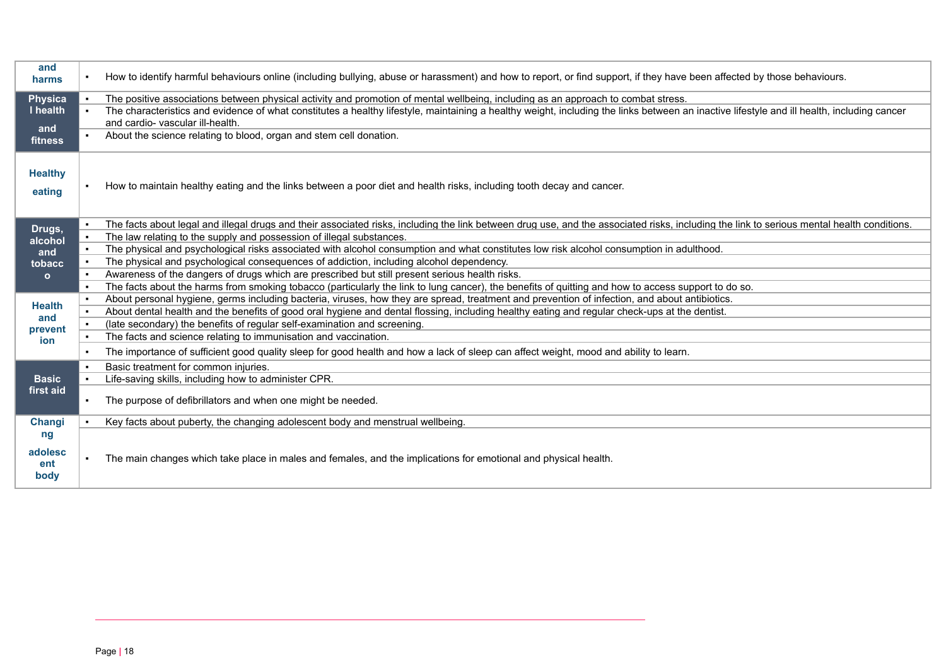| and<br>harms                 | How to identify harmful behaviours online (including bullying, abuse or harassment) and how to report, or find support, if they have been affected by those behaviours.                                                        |
|------------------------------|--------------------------------------------------------------------------------------------------------------------------------------------------------------------------------------------------------------------------------|
| Physica                      | The positive associations between physical activity and promotion of mental wellbeing, including as an approach to combat stress.                                                                                              |
| I health                     | The characteristics and evidence of what constitutes a healthy lifestyle, maintaining a healthy weight, including the links between an inactive lifestyle and ill health, including cancer<br>and cardio- vascular ill-health. |
| and<br>fitness               | About the science relating to blood, organ and stem cell donation.                                                                                                                                                             |
| <b>Healthy</b><br>eating     | How to maintain healthy eating and the links between a poor diet and health risks, including tooth decay and cancer.                                                                                                           |
| Drugs,                       | The facts about legal and illegal drugs and their associated risks, including the link between drug use, and the associated risks, including the link to serious mental health conditions.                                     |
| alcohol                      | The law relating to the supply and possession of illegal substances.                                                                                                                                                           |
| and                          | The physical and psychological risks associated with alcohol consumption and what constitutes low risk alcohol consumption in adulthood.                                                                                       |
| tobacc                       | The physical and psychological consequences of addiction, including alcohol dependency.                                                                                                                                        |
| $\mathbf{o}$                 | Awareness of the dangers of drugs which are prescribed but still present serious health risks.                                                                                                                                 |
|                              | The facts about the harms from smoking tobacco (particularly the link to lung cancer), the benefits of quitting and how to access support to do so.                                                                            |
|                              | About personal hygiene, germs including bacteria, viruses, how they are spread, treatment and prevention of infection, and about antibiotics.                                                                                  |
| <b>Health</b><br>and         | About dental health and the benefits of good oral hygiene and dental flossing, including healthy eating and regular check-ups at the dentist.                                                                                  |
| prevent                      | (late secondary) the benefits of regular self-examination and screening.                                                                                                                                                       |
| ion                          | The facts and science relating to immunisation and vaccination.                                                                                                                                                                |
|                              | The importance of sufficient good quality sleep for good health and how a lack of sleep can affect weight, mood and ability to learn.                                                                                          |
|                              | Basic treatment for common injuries.                                                                                                                                                                                           |
| <b>Basic</b>                 | Life-saving skills, including how to administer CPR.                                                                                                                                                                           |
| first aid                    | The purpose of defibrillators and when one might be needed.                                                                                                                                                                    |
| <b>Changi</b>                | Key facts about puberty, the changing adolescent body and menstrual wellbeing.                                                                                                                                                 |
| ng<br>adolesc<br>ent<br>body | The main changes which take place in males and females, and the implications for emotional and physical health.                                                                                                                |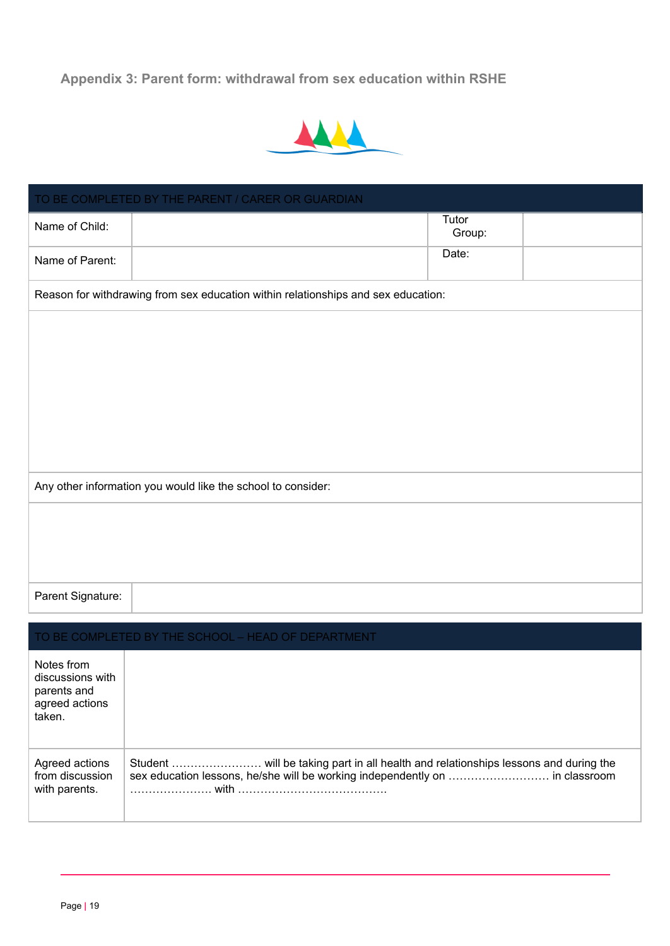<span id="page-18-0"></span>**Appendix 3: Parent form: withdrawal from sex education within RSHE**



| TO BE COMPLETED BY THE PARENT / CARER OR GUARDIAN                                 |                                                                              |                 |  |
|-----------------------------------------------------------------------------------|------------------------------------------------------------------------------|-----------------|--|
| Name of Child:                                                                    |                                                                              | Tutor<br>Group: |  |
| Name of Parent:                                                                   |                                                                              | Date:           |  |
| Reason for withdrawing from sex education within relationships and sex education: |                                                                              |                 |  |
|                                                                                   |                                                                              |                 |  |
|                                                                                   |                                                                              |                 |  |
|                                                                                   |                                                                              |                 |  |
|                                                                                   |                                                                              |                 |  |
|                                                                                   |                                                                              |                 |  |
| Any other information you would like the school to consider:                      |                                                                              |                 |  |
|                                                                                   |                                                                              |                 |  |
|                                                                                   |                                                                              |                 |  |
| Parent Signature:                                                                 |                                                                              |                 |  |
| TO BE COMPLETED BY THE SCHOOL - HEAD OF DEPARTMENT                                |                                                                              |                 |  |
| Notes from<br>discussions with<br>parents and<br>agreed actions<br>taken.         |                                                                              |                 |  |
| Agreed actions<br>from discussion<br>with parents.                                | sex education lessons, he/she will be working independently on  in classroom |                 |  |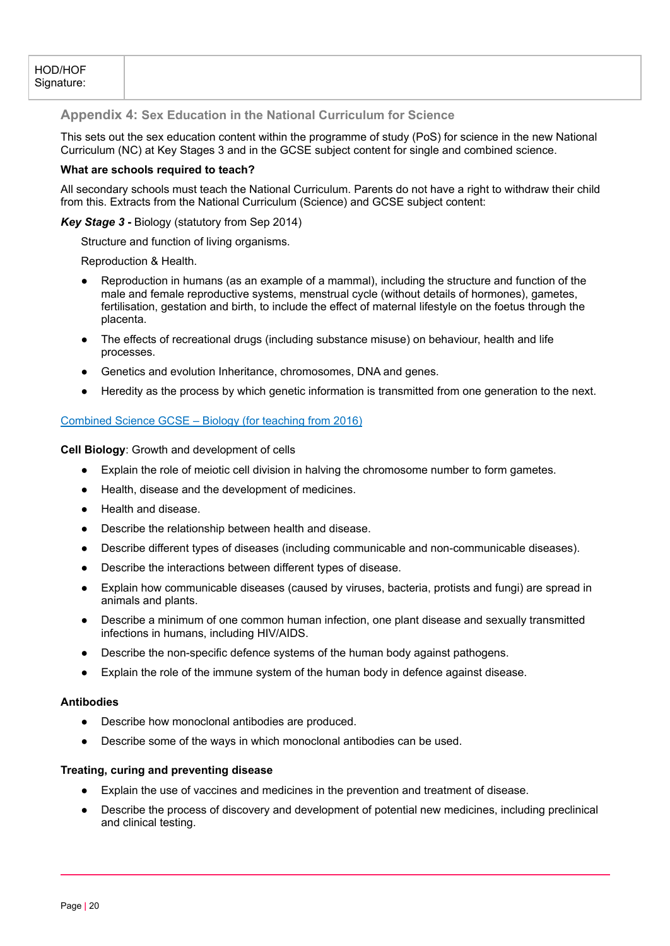<span id="page-19-0"></span>**Appendix 4: Sex Education in the National Curriculum for Science**

This sets out the sex education content within the programme of study (PoS) for science in the new National Curriculum (NC) at Key Stages 3 and in the GCSE subject content for single and combined science.

#### **What are schools required to teach?**

All secondary schools must teach the National Curriculum. Parents do not have a right to withdraw their child from this. Extracts from the National Curriculum (Science) and GCSE subject content:

*Key Stage 3* **-** Biology (statutory from Sep 2014)

Structure and function of living organisms.

Reproduction & Health.

- Reproduction in humans (as an example of a mammal), including the structure and function of the male and female reproductive systems, menstrual cycle (without details of hormones), gametes, fertilisation, gestation and birth, to include the effect of maternal lifestyle on the foetus through the placenta.
- The effects of recreational drugs (including substance misuse) on behaviour, health and life processes.
- Genetics and evolution Inheritance, chromosomes, DNA and genes.
- Heredity as the process by which genetic information is transmitted from one generation to the next.

#### Combined Science GCSE – Biology (for teaching from 2016)

**Cell Biology**: Growth and development of cells

- Explain the role of meiotic cell division in halving the chromosome number to form gametes.
- Health, disease and the development of medicines.
- Health and disease.
- Describe the relationship between health and disease.
- Describe different types of diseases (including communicable and non-communicable diseases).
- Describe the interactions between different types of disease.
- Explain how communicable diseases (caused by viruses, bacteria, protists and fungi) are spread in animals and plants.
- Describe a minimum of one common human infection, one plant disease and sexually transmitted infections in humans, including HIV/AIDS.
- Describe the non-specific defence systems of the human body against pathogens.
- Explain the role of the immune system of the human body in defence against disease.

#### **Antibodies**

- Describe how monoclonal antibodies are produced.
- Describe some of the ways in which monoclonal antibodies can be used.

#### **Treating, curing and preventing disease**

- Explain the use of vaccines and medicines in the prevention and treatment of disease.
- Describe the process of discovery and development of potential new medicines, including preclinical and clinical testing.